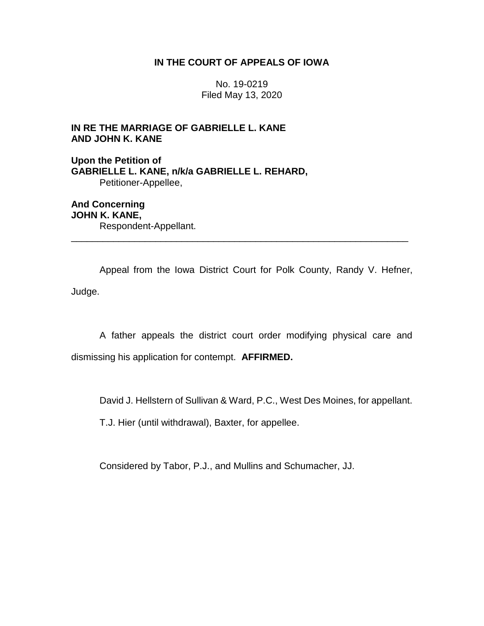## **IN THE COURT OF APPEALS OF IOWA**

No. 19-0219 Filed May 13, 2020

# **IN RE THE MARRIAGE OF GABRIELLE L. KANE AND JOHN K. KANE**

**Upon the Petition of GABRIELLE L. KANE, n/k/a GABRIELLE L. REHARD,** Petitioner-Appellee,

**And Concerning JOHN K. KANE,** Respondent-Appellant. \_\_\_\_\_\_\_\_\_\_\_\_\_\_\_\_\_\_\_\_\_\_\_\_\_\_\_\_\_\_\_\_\_\_\_\_\_\_\_\_\_\_\_\_\_\_\_\_\_\_\_\_\_\_\_\_\_\_\_\_\_\_\_\_

Appeal from the Iowa District Court for Polk County, Randy V. Hefner, Judge.

A father appeals the district court order modifying physical care and dismissing his application for contempt. **AFFIRMED.**

David J. Hellstern of Sullivan & Ward, P.C., West Des Moines, for appellant.

T.J. Hier (until withdrawal), Baxter, for appellee.

Considered by Tabor, P.J., and Mullins and Schumacher, JJ.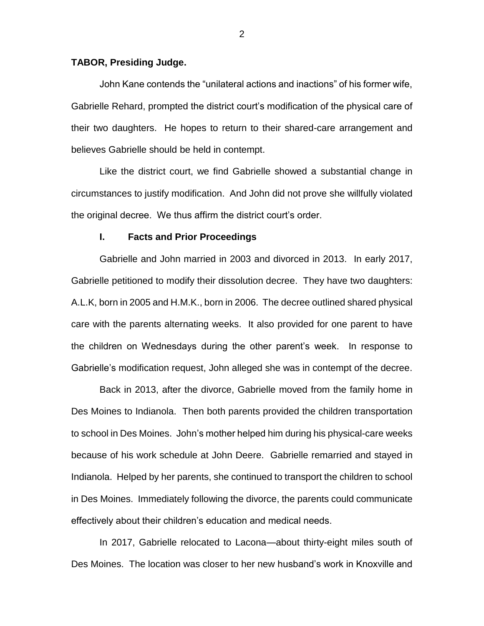## **TABOR, Presiding Judge.**

John Kane contends the "unilateral actions and inactions" of his former wife, Gabrielle Rehard, prompted the district court's modification of the physical care of their two daughters. He hopes to return to their shared-care arrangement and believes Gabrielle should be held in contempt.

Like the district court, we find Gabrielle showed a substantial change in circumstances to justify modification. And John did not prove she willfully violated the original decree. We thus affirm the district court's order.

#### **I. Facts and Prior Proceedings**

Gabrielle and John married in 2003 and divorced in 2013. In early 2017, Gabrielle petitioned to modify their dissolution decree. They have two daughters: A.L.K, born in 2005 and H.M.K., born in 2006. The decree outlined shared physical care with the parents alternating weeks. It also provided for one parent to have the children on Wednesdays during the other parent's week. In response to Gabrielle's modification request, John alleged she was in contempt of the decree.

Back in 2013, after the divorce, Gabrielle moved from the family home in Des Moines to Indianola. Then both parents provided the children transportation to school in Des Moines. John's mother helped him during his physical-care weeks because of his work schedule at John Deere. Gabrielle remarried and stayed in Indianola. Helped by her parents, she continued to transport the children to school in Des Moines. Immediately following the divorce, the parents could communicate effectively about their children's education and medical needs.

In 2017, Gabrielle relocated to Lacona—about thirty-eight miles south of Des Moines. The location was closer to her new husband's work in Knoxville and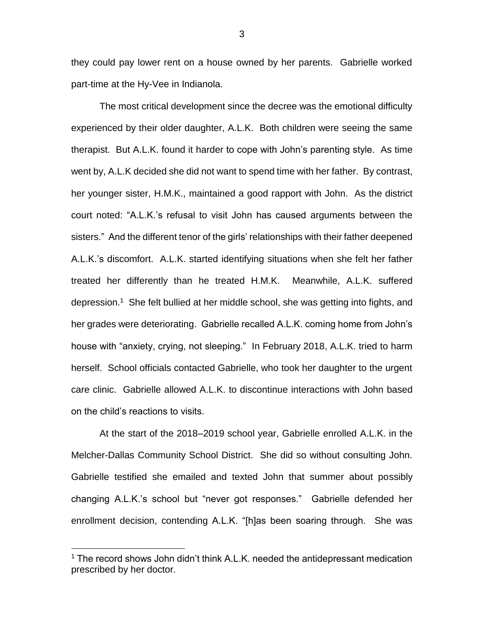they could pay lower rent on a house owned by her parents. Gabrielle worked part-time at the Hy-Vee in Indianola.

The most critical development since the decree was the emotional difficulty experienced by their older daughter, A.L.K. Both children were seeing the same therapist. But A.L.K. found it harder to cope with John's parenting style. As time went by, A.L.K decided she did not want to spend time with her father. By contrast, her younger sister, H.M.K., maintained a good rapport with John. As the district court noted: "A.L.K.'s refusal to visit John has caused arguments between the sisters." And the different tenor of the girls' relationships with their father deepened A.L.K.'s discomfort. A.L.K. started identifying situations when she felt her father treated her differently than he treated H.M.K. Meanwhile, A.L.K. suffered depression.<sup>1</sup> She felt bullied at her middle school, she was getting into fights, and her grades were deteriorating. Gabrielle recalled A.L.K. coming home from John's house with "anxiety, crying, not sleeping." In February 2018, A.L.K. tried to harm herself. School officials contacted Gabrielle, who took her daughter to the urgent care clinic. Gabrielle allowed A.L.K. to discontinue interactions with John based on the child's reactions to visits.

At the start of the 2018–2019 school year, Gabrielle enrolled A.L.K. in the Melcher-Dallas Community School District. She did so without consulting John. Gabrielle testified she emailed and texted John that summer about possibly changing A.L.K.'s school but "never got responses." Gabrielle defended her enrollment decision, contending A.L.K. "[h]as been soaring through. She was

 $\overline{a}$ 

<sup>&</sup>lt;sup>1</sup> The record shows John didn't think A.L.K. needed the antidepressant medication prescribed by her doctor.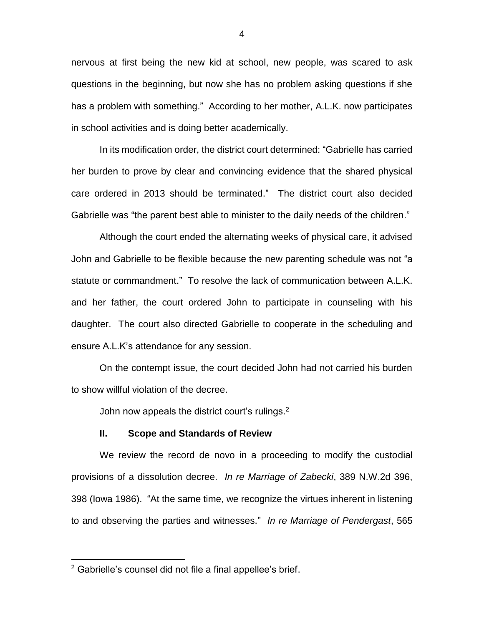nervous at first being the new kid at school, new people, was scared to ask questions in the beginning, but now she has no problem asking questions if she has a problem with something." According to her mother, A.L.K. now participates in school activities and is doing better academically.

In its modification order, the district court determined: "Gabrielle has carried her burden to prove by clear and convincing evidence that the shared physical care ordered in 2013 should be terminated." The district court also decided Gabrielle was "the parent best able to minister to the daily needs of the children."

Although the court ended the alternating weeks of physical care, it advised John and Gabrielle to be flexible because the new parenting schedule was not "a statute or commandment." To resolve the lack of communication between A.L.K. and her father, the court ordered John to participate in counseling with his daughter. The court also directed Gabrielle to cooperate in the scheduling and ensure A.L.K's attendance for any session.

On the contempt issue, the court decided John had not carried his burden to show willful violation of the decree.

John now appeals the district court's rulings.<sup>2</sup>

#### **II. Scope and Standards of Review**

We review the record de novo in a proceeding to modify the custodial provisions of a dissolution decree. *In re Marriage of Zabecki*, 389 N.W.2d 396, 398 (Iowa 1986). "At the same time, we recognize the virtues inherent in listening to and observing the parties and witnesses." *In re Marriage of Pendergast*, 565

 $\overline{a}$ 

<sup>&</sup>lt;sup>2</sup> Gabrielle's counsel did not file a final appellee's brief.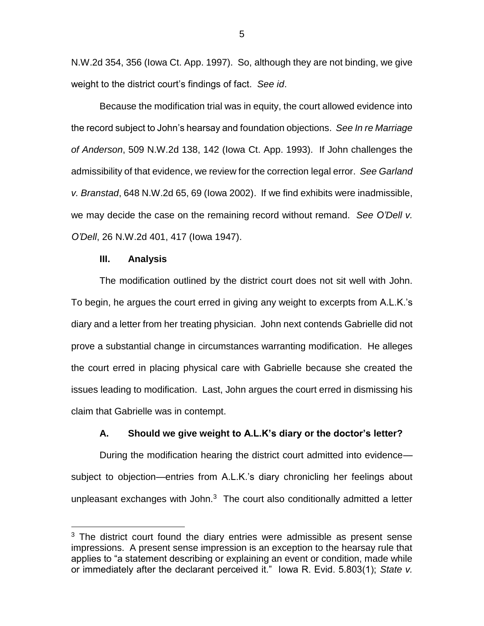N.W.2d 354, 356 (Iowa Ct. App. 1997). So, although they are not binding, we give weight to the district court's findings of fact. *See id*.

Because the modification trial was in equity, the court allowed evidence into the record subject to John's hearsay and foundation objections. *See In re Marriage of Anderson*, 509 N.W.2d 138, 142 (Iowa Ct. App. 1993). If John challenges the admissibility of that evidence, we review for the correction legal error. *See Garland v. Branstad*, 648 N.W.2d 65, 69 (Iowa 2002). If we find exhibits were inadmissible, we may decide the case on the remaining record without remand. *See O'Dell v. O'Dell*, 26 N.W.2d 401, 417 (Iowa 1947).

## **III. Analysis**

 $\overline{a}$ 

The modification outlined by the district court does not sit well with John. To begin, he argues the court erred in giving any weight to excerpts from A.L.K.'s diary and a letter from her treating physician. John next contends Gabrielle did not prove a substantial change in circumstances warranting modification. He alleges the court erred in placing physical care with Gabrielle because she created the issues leading to modification. Last, John argues the court erred in dismissing his claim that Gabrielle was in contempt.

## **A. Should we give weight to A.L.K's diary or the doctor's letter?**

During the modification hearing the district court admitted into evidence subject to objection—entries from A.L.K.'s diary chronicling her feelings about unpleasant exchanges with John. $3$  The court also conditionally admitted a letter

5

 $3$  The district court found the diary entries were admissible as present sense impressions. A present sense impression is an exception to the hearsay rule that applies to "a statement describing or explaining an event or condition, made while or immediately after the declarant perceived it." Iowa R. Evid. 5.803(1); *State v.*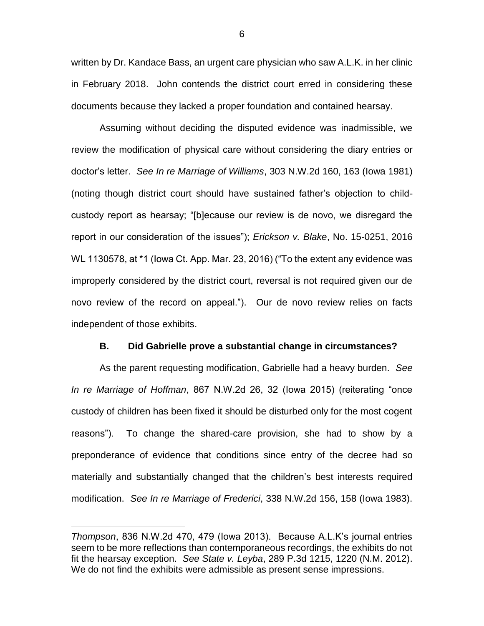written by Dr. Kandace Bass, an urgent care physician who saw A.L.K. in her clinic in February 2018. John contends the district court erred in considering these documents because they lacked a proper foundation and contained hearsay.

Assuming without deciding the disputed evidence was inadmissible, we review the modification of physical care without considering the diary entries or doctor's letter. *See In re Marriage of Williams*, 303 N.W.2d 160, 163 (Iowa 1981) (noting though district court should have sustained father's objection to childcustody report as hearsay; "[b]ecause our review is de novo, we disregard the report in our consideration of the issues"); *Erickson v. Blake*, No. 15-0251, 2016 WL 1130578, at \*1 (Iowa Ct. App. Mar. 23, 2016) ("To the extent any evidence was improperly considered by the district court, reversal is not required given our de novo review of the record on appeal."). Our de novo review relies on facts independent of those exhibits.

## **B. Did Gabrielle prove a substantial change in circumstances?**

As the parent requesting modification, Gabrielle had a heavy burden. *See In re Marriage of Hoffman*, 867 N.W.2d 26, 32 (Iowa 2015) (reiterating "once custody of children has been fixed it should be disturbed only for the most cogent reasons"). To change the shared-care provision, she had to show by a preponderance of evidence that conditions since entry of the decree had so materially and substantially changed that the children's best interests required modification. *See In re Marriage of Frederici*, 338 N.W.2d 156, 158 (Iowa 1983).

 $\overline{a}$ 

*Thompson*, 836 N.W.2d 470, 479 (Iowa 2013). Because A.L.K's journal entries seem to be more reflections than contemporaneous recordings, the exhibits do not fit the hearsay exception. *See State v. Leyba*, 289 P.3d 1215, 1220 (N.M. 2012). We do not find the exhibits were admissible as present sense impressions.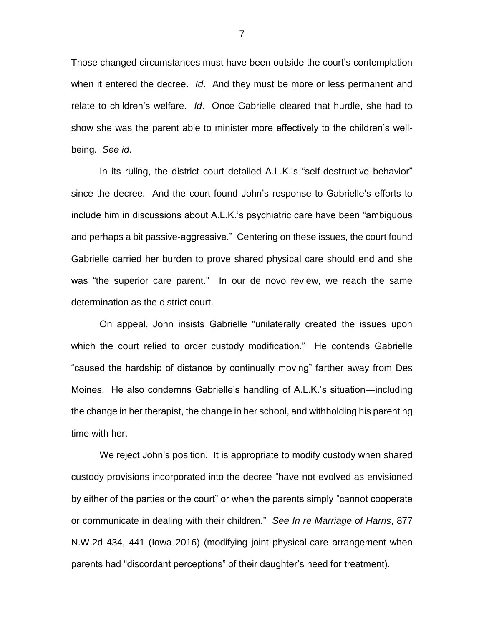Those changed circumstances must have been outside the court's contemplation when it entered the decree. *Id*. And they must be more or less permanent and relate to children's welfare. *Id*. Once Gabrielle cleared that hurdle, she had to show she was the parent able to minister more effectively to the children's wellbeing. *See id*.

In its ruling, the district court detailed A.L.K.'s "self-destructive behavior" since the decree. And the court found John's response to Gabrielle's efforts to include him in discussions about A.L.K.'s psychiatric care have been "ambiguous and perhaps a bit passive-aggressive." Centering on these issues, the court found Gabrielle carried her burden to prove shared physical care should end and she was "the superior care parent." In our de novo review, we reach the same determination as the district court.

On appeal, John insists Gabrielle "unilaterally created the issues upon which the court relied to order custody modification." He contends Gabrielle "caused the hardship of distance by continually moving" farther away from Des Moines. He also condemns Gabrielle's handling of A.L.K.'s situation—including the change in her therapist, the change in her school, and withholding his parenting time with her.

We reject John's position. It is appropriate to modify custody when shared custody provisions incorporated into the decree "have not evolved as envisioned by either of the parties or the court" or when the parents simply "cannot cooperate or communicate in dealing with their children." *See In re Marriage of Harris*, 877 N.W.2d 434, 441 (Iowa 2016) (modifying joint physical-care arrangement when parents had "discordant perceptions" of their daughter's need for treatment).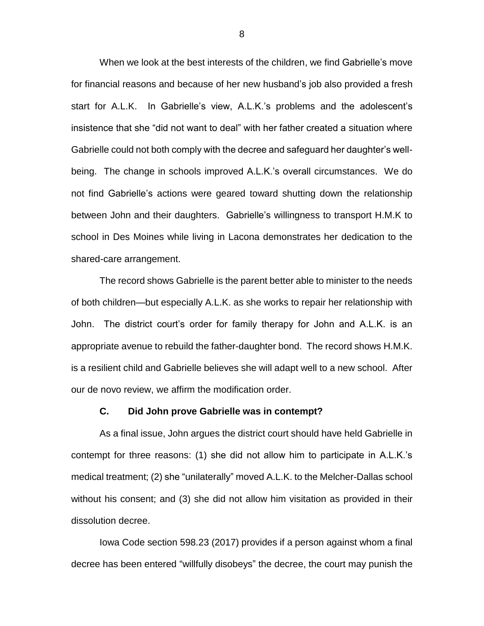When we look at the best interests of the children, we find Gabrielle's move for financial reasons and because of her new husband's job also provided a fresh start for A.L.K. In Gabrielle's view, A.L.K.'s problems and the adolescent's insistence that she "did not want to deal" with her father created a situation where Gabrielle could not both comply with the decree and safeguard her daughter's wellbeing. The change in schools improved A.L.K.'s overall circumstances. We do not find Gabrielle's actions were geared toward shutting down the relationship between John and their daughters. Gabrielle's willingness to transport H.M.K to school in Des Moines while living in Lacona demonstrates her dedication to the shared-care arrangement.

The record shows Gabrielle is the parent better able to minister to the needs of both children—but especially A.L.K. as she works to repair her relationship with John. The district court's order for family therapy for John and A.L.K. is an appropriate avenue to rebuild the father-daughter bond. The record shows H.M.K. is a resilient child and Gabrielle believes she will adapt well to a new school. After our de novo review, we affirm the modification order.

#### **C. Did John prove Gabrielle was in contempt?**

As a final issue, John argues the district court should have held Gabrielle in contempt for three reasons: (1) she did not allow him to participate in A.L.K.'s medical treatment; (2) she "unilaterally" moved A.L.K. to the Melcher-Dallas school without his consent; and (3) she did not allow him visitation as provided in their dissolution decree.

Iowa Code section 598.23 (2017) provides if a person against whom a final decree has been entered "willfully disobeys" the decree, the court may punish the